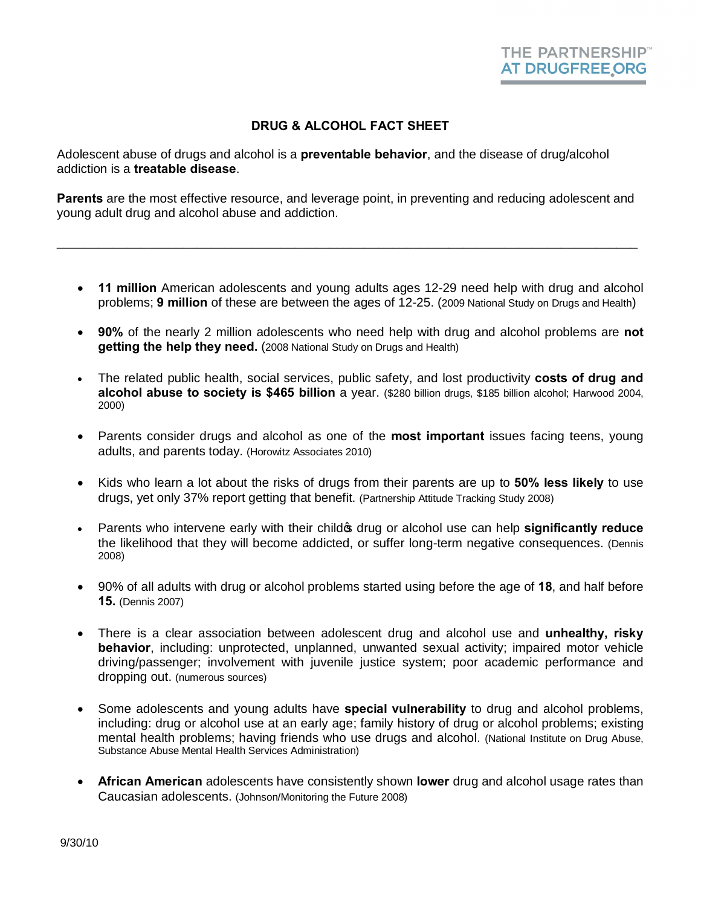## **DRUG & ALCOHOL FACT SHEET**

Adolescent abuse of drugs and alcohol is a **preventable behavior**, and the disease of drug/alcohol addiction is a **treatable disease**.

**Parents** are the most effective resource, and leverage point, in preventing and reducing adolescent and young adult drug and alcohol abuse and addiction.

\_\_\_\_\_\_\_\_\_\_\_\_\_\_\_\_\_\_\_\_\_\_\_\_\_\_\_\_\_\_\_\_\_\_\_\_\_\_\_\_\_\_\_\_\_\_\_\_\_\_\_\_\_\_\_\_\_\_\_\_\_\_\_\_\_\_\_\_\_\_\_\_\_\_\_\_\_\_\_\_\_\_\_

- · **11 million** American adolescents and young adults ages 12-29 need help with drug and alcohol problems; **9 million** of these are between the ages of 12-25. (2009 National Study on Drugs and Health)
- · **90%** of the nearly 2 million adolescents who need help with drug and alcohol problems are **not getting the help they need.** (2008 National Study on Drugs and Health)
- · The related public health, social services, public safety, and lost productivity **costs of drug and alcohol abuse to society is \$465 billion** a year. (\$280 billion drugs, \$185 billion alcohol; Harwood 2004, 2000)
- · Parents consider drugs and alcohol as one of the **most important** issues facing teens, young adults, and parents today. (Horowitz Associates 2010)
- · Kids who learn a lot about the risks of drugs from their parents are up to **50% less likely** to use drugs, yet only 37% report getting that benefit. (Partnership Attitude Tracking Study 2008)
- Parents who intervene early with their child<sub><sup>\$</sup></sub> drug or alcohol use can help **significantly reduce** the likelihood that they will become addicted, or suffer long-term negative consequences. (Dennis 2008)
- · 90% of all adults with drug or alcohol problems started using before the age of **18**, and half before **15.** (Dennis 2007)
- · There is a clear association between adolescent drug and alcohol use and **unhealthy, risky behavior**, including: unprotected, unplanned, unwanted sexual activity; impaired motor vehicle driving/passenger; involvement with juvenile justice system; poor academic performance and dropping out. (numerous sources)
- · Some adolescents and young adults have **special vulnerability** to drug and alcohol problems, including: drug or alcohol use at an early age; family history of drug or alcohol problems; existing mental health problems; having friends who use drugs and alcohol. (National Institute on Drug Abuse, Substance Abuse Mental Health Services Administration)
- · **African American** adolescents have consistently shown **lower** drug and alcohol usage rates than Caucasian adolescents. (Johnson/Monitoring the Future 2008)